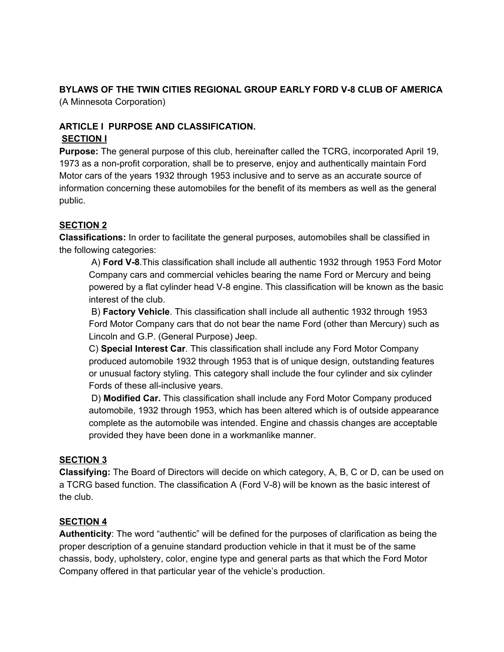## **BYLAWS OF THE TWIN CITIES REGIONAL GROUP EARLY FORD V-8 CLUB OF AMERICA**

(A Minnesota Corporation)

## **ARTICLE I PURPOSE AND CLASSIFICATION. SECTION I**

**Purpose:** The general purpose of this club, hereinafter called the TCRG, incorporated April 19, 1973 as a non-profit corporation, shall be to preserve, enjoy and authentically maintain Ford Motor cars of the years 1932 through 1953 inclusive and to serve as an accurate source of information concerning these automobiles for the benefit of its members as well as the general public.

## **SECTION 2**

**Classifications:** In order to facilitate the general purposes, automobiles shall be classified in the following categories:

A) **Ford V-8**.This classification shall include all authentic 1932 through 1953 Ford Motor Company cars and commercial vehicles bearing the name Ford or Mercury and being powered by a flat cylinder head V-8 engine. This classification will be known as the basic interest of the club.

B) **Factory Vehicle**. This classification shall include all authentic 1932 through 1953 Ford Motor Company cars that do not bear the name Ford (other than Mercury) such as Lincoln and G.P. (General Purpose) Jeep.

C) **Special Interest Car**. This classification shall include any Ford Motor Company produced automobile 1932 through 1953 that is of unique design, outstanding features or unusual factory styling. This category shall include the four cylinder and six cylinder Fords of these all-inclusive years.

D) **Modified Car.** This classification shall include any Ford Motor Company produced automobile, 1932 through 1953, which has been altered which is of outside appearance complete as the automobile was intended. Engine and chassis changes are acceptable provided they have been done in a workmanlike manner.

## **SECTION 3**

**Classifying:** The Board of Directors will decide on which category, A, B, C or D, can be used on a TCRG based function. The classification A (Ford V-8) will be known as the basic interest of the club.

#### **SECTION 4**

**Authenticity**: The word "authentic" will be defined for the purposes of clarification as being the proper description of a genuine standard production vehicle in that it must be of the same chassis, body, upholstery, color, engine type and general parts as that which the Ford Motor Company offered in that particular year of the vehicle's production.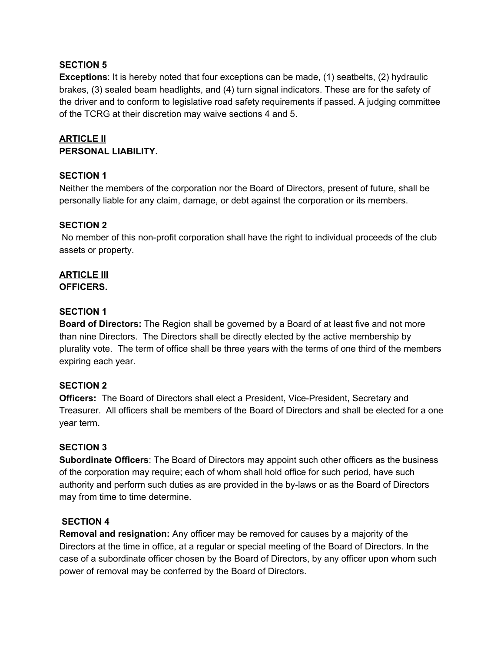#### **SECTION 5**

**Exceptions**: It is hereby noted that four exceptions can be made, (1) seatbelts, (2) hydraulic brakes, (3) sealed beam headlights, and (4) turn signal indicators. These are for the safety of the driver and to conform to legislative road safety requirements if passed. A judging committee of the TCRG at their discretion may waive sections 4 and 5.

## **ARTICLE II PERSONAL LIABILITY.**

#### **SECTION 1**

Neither the members of the corporation nor the Board of Directors, present of future, shall be personally liable for any claim, damage, or debt against the corporation or its members.

#### **SECTION 2**

No member of this non-profit corporation shall have the right to individual proceeds of the club assets or property.

# **ARTICLE III**

**OFFICERS.**

#### **SECTION 1**

**Board of Directors:** The Region shall be governed by a Board of at least five and not more than nine Directors. The Directors shall be directly elected by the active membership by plurality vote. The term of office shall be three years with the terms of one third of the members expiring each year.

#### **SECTION 2**

**Officers:** The Board of Directors shall elect a President, Vice-President, Secretary and Treasurer. All officers shall be members of the Board of Directors and shall be elected for a one year term.

#### **SECTION 3**

**Subordinate Officers**: The Board of Directors may appoint such other officers as the business of the corporation may require; each of whom shall hold office for such period, have such authority and perform such duties as are provided in the by-laws or as the Board of Directors may from time to time determine.

#### **SECTION 4**

**Removal and resignation:** Any officer may be removed for causes by a majority of the Directors at the time in office, at a regular or special meeting of the Board of Directors. In the case of a subordinate officer chosen by the Board of Directors, by any officer upon whom such power of removal may be conferred by the Board of Directors.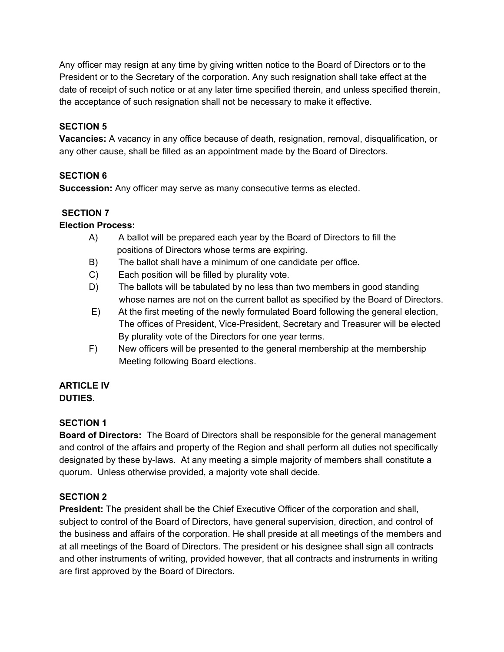Any officer may resign at any time by giving written notice to the Board of Directors or to the President or to the Secretary of the corporation. Any such resignation shall take effect at the date of receipt of such notice or at any later time specified therein, and unless specified therein, the acceptance of such resignation shall not be necessary to make it effective.

## **SECTION 5**

**Vacancies:** A vacancy in any office because of death, resignation, removal, disqualification, or any other cause, shall be filled as an appointment made by the Board of Directors.

## **SECTION 6**

**Succession:** Any officer may serve as many consecutive terms as elected.

#### **SECTION 7**

#### **Election Process:**

- A) A ballot will be prepared each year by the Board of Directors to fill the positions of Directors whose terms are expiring.
- B) The ballot shall have a minimum of one candidate per office.
- C) Each position will be filled by plurality vote.
- D) The ballots will be tabulated by no less than two members in good standing whose names are not on the current ballot as specified by the Board of Directors.
- E) At the first meeting of the newly formulated Board following the general election, The offices of President, Vice-President, Secretary and Treasurer will be elected By plurality vote of the Directors for one year terms.
- F) New officers will be presented to the general membership at the membership Meeting following Board elections.

#### **ARTICLE IV DUTIES.**

#### **SECTION 1**

**Board of Directors:** The Board of Directors shall be responsible for the general management and control of the affairs and property of the Region and shall perform all duties not specifically designated by these by-laws. At any meeting a simple majority of members shall constitute a quorum. Unless otherwise provided, a majority vote shall decide.

#### **SECTION 2**

**President:** The president shall be the Chief Executive Officer of the corporation and shall, subject to control of the Board of Directors, have general supervision, direction, and control of the business and affairs of the corporation. He shall preside at all meetings of the members and at all meetings of the Board of Directors. The president or his designee shall sign all contracts and other instruments of writing, provided however, that all contracts and instruments in writing are first approved by the Board of Directors.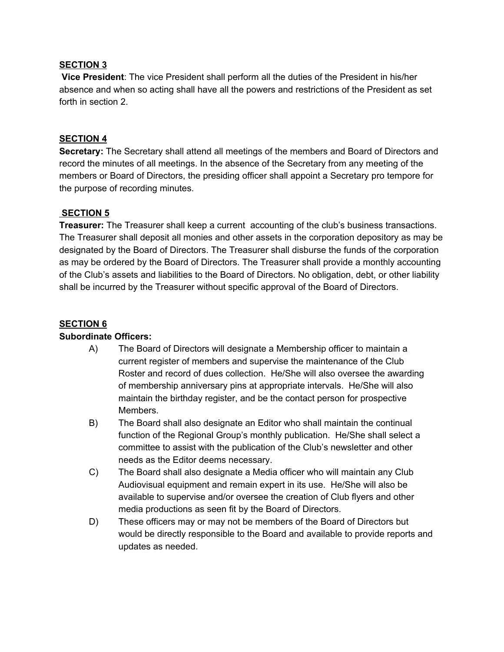#### **SECTION 3**

**Vice President**: The vice President shall perform all the duties of the President in his/her absence and when so acting shall have all the powers and restrictions of the President as set forth in section 2.

#### **SECTION 4**

**Secretary:** The Secretary shall attend all meetings of the members and Board of Directors and record the minutes of all meetings. In the absence of the Secretary from any meeting of the members or Board of Directors, the presiding officer shall appoint a Secretary pro tempore for the purpose of recording minutes.

#### **SECTION 5**

**Treasurer:** The Treasurer shall keep a current accounting of the club's business transactions. The Treasurer shall deposit all monies and other assets in the corporation depository as may be designated by the Board of Directors. The Treasurer shall disburse the funds of the corporation as may be ordered by the Board of Directors. The Treasurer shall provide a monthly accounting of the Club's assets and liabilities to the Board of Directors. No obligation, debt, or other liability shall be incurred by the Treasurer without specific approval of the Board of Directors.

#### **SECTION 6**

#### **Subordinate Officers:**

- A) The Board of Directors will designate a Membership officer to maintain a current register of members and supervise the maintenance of the Club Roster and record of dues collection. He/She will also oversee the awarding of membership anniversary pins at appropriate intervals. He/She will also maintain the birthday register, and be the contact person for prospective Members.
- B) The Board shall also designate an Editor who shall maintain the continual function of the Regional Group's monthly publication. He/She shall select a committee to assist with the publication of the Club's newsletter and other needs as the Editor deems necessary.
- C) The Board shall also designate a Media officer who will maintain any Club Audiovisual equipment and remain expert in its use. He/She will also be available to supervise and/or oversee the creation of Club flyers and other media productions as seen fit by the Board of Directors.
- D) These officers may or may not be members of the Board of Directors but would be directly responsible to the Board and available to provide reports and updates as needed.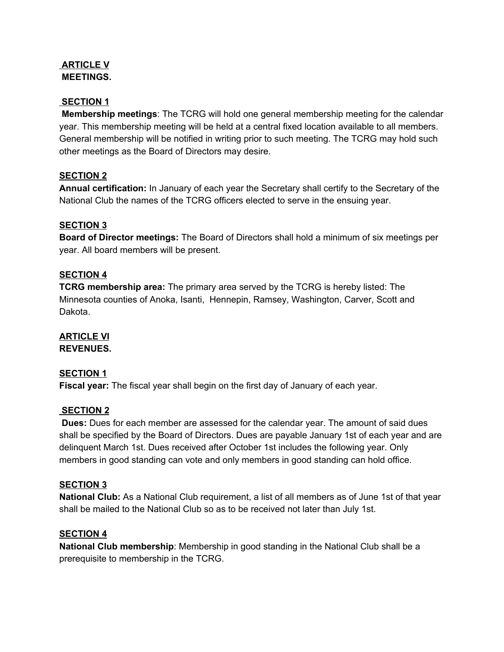#### **ARTICLE V MEETINGS.**

## **SECTION 1**

**Membership meetings**: The TCRG will hold one general membership meeting for the calendar year. This membership meeting will be held at a central fixed location available to all members. General membership will be notified in writing prior to such meeting. The TCRG may hold such other meetings as the Board of Directors may desire.

## **SECTION 2**

**Annual certification:** In January of each year the Secretary shall certify to the Secretary of the National Club the names of the TCRG officers elected to serve in the ensuing year.

#### **SECTION 3**

**Board of Director meetings:** The Board of Directors shall hold a minimum of six meetings per year. All board members will be present.

#### **SECTION 4**

**TCRG membership area:** The primary area served by the TCRG is hereby listed: The Minnesota counties of Anoka, Isanti, Hennepin, Ramsey, Washington, Carver, Scott and Dakota.

# **ARTICLE VI**

**REVENUES.**

#### **SECTION 1**

**Fiscal year:** The fiscal year shall begin on the first day of January of each year.

#### **SECTION 2**

**Dues:** Dues for each member are assessed for the calendar year. The amount of said dues shall be specified by the Board of Directors. Dues are payable January 1st of each year and are delinquent March 1st. Dues received after October 1st includes the following year. Only members in good standing can vote and only members in good standing can hold office.

#### **SECTION 3**

**National Club:** As a National Club requirement, a list of all members as of June 1st of that year shall be mailed to the National Club so as to be received not later than July 1st.

#### **SECTION 4**

**National Club membership**: Membership in good standing in the National Club shall be a prerequisite to membership in the TCRG.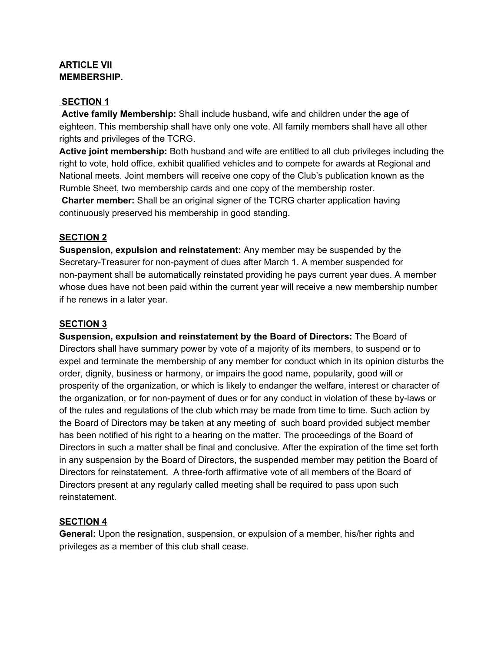#### **ARTICLE VII MEMBERSHIP.**

#### **SECTION 1**

**Active family Membership:** Shall include husband, wife and children under the age of eighteen. This membership shall have only one vote. All family members shall have all other rights and privileges of the TCRG.

**Active joint membership:** Both husband and wife are entitled to all club privileges including the right to vote, hold office, exhibit qualified vehicles and to compete for awards at Regional and National meets. Joint members will receive one copy of the Club's publication known as the Rumble Sheet, two membership cards and one copy of the membership roster.

**Charter member:** Shall be an original signer of the TCRG charter application having continuously preserved his membership in good standing.

#### **SECTION 2**

**Suspension, expulsion and reinstatement:** Any member may be suspended by the Secretary-Treasurer for non-payment of dues after March 1. A member suspended for non-payment shall be automatically reinstated providing he pays current year dues. A member whose dues have not been paid within the current year will receive a new membership number if he renews in a later year.

#### **SECTION 3**

**Suspension, expulsion and reinstatement by the Board of Directors:** The Board of Directors shall have summary power by vote of a majority of its members, to suspend or to expel and terminate the membership of any member for conduct which in its opinion disturbs the order, dignity, business or harmony, or impairs the good name, popularity, good will or prosperity of the organization, or which is likely to endanger the welfare, interest or character of the organization, or for non-payment of dues or for any conduct in violation of these by-laws or of the rules and regulations of the club which may be made from time to time. Such action by the Board of Directors may be taken at any meeting of such board provided subject member has been notified of his right to a hearing on the matter. The proceedings of the Board of Directors in such a matter shall be final and conclusive. After the expiration of the time set forth in any suspension by the Board of Directors, the suspended member may petition the Board of Directors for reinstatement. A three-forth affirmative vote of all members of the Board of Directors present at any regularly called meeting shall be required to pass upon such reinstatement.

#### **SECTION 4**

**General:** Upon the resignation, suspension, or expulsion of a member, his/her rights and privileges as a member of this club shall cease.